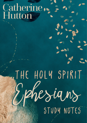## Catherine Hutton

# Study Notes The holy spirit Ephesians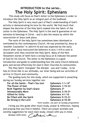#### **INTRODUCTION to the series… The Holy Spirit: Ephesians**

 This study will focus on Paul's letter to the Ephesians in order to introduce the Holy Spirit as an integral part of the Godhead.

The Holy Spirit is very much part of Paul's understanding of God's activity in demonstrating his love for the world. We find much that shapes the doctrine of the Holy Spirit soaked into the fabric of the Letter to the Ephesians. The Holy Spirit is the seal & guarantee of our salvation & blessings in Christ —and is also the means by which the resurrection of Jesus took place.

The work of the Holy Spirit has sometimes been dismissed or overlooked by the contemporary Church. He was promised by Jesus as '*another Counsellor*' in John14:16 and was expected by the early church after Jesus instructed the believers in Acts 1:4-8 to wait in Jerusalem until they received the Holy Spirit. Many of the New Testament stories of faith have a strong focus on & indicate the power of God for his Church. The letter to the Ephesians is a good introduction and guide to understanding how the early Church behaved, grew and served effectively for God in their Churches & communities.

The Holy Spirit 'energises' the disciple - you and I today - to be holy & Christ-like in our attitudes, our inner being and our activities of service in Church and community.

The guiding texts for this study, which are supported in preaching during our Sunday services together are:

| For all the Saints - That's You too! | <b>Ephesians 1:</b> |
|--------------------------------------|---------------------|
| The Power of God                     | <b>Ephesians 1:</b> |
| <b>Built Together by God's Grace</b> | <b>Ephesians 2*</b> |
| <b>Immeasurably More</b>             | <b>Ephesians 3:</b> |
| <b>Gifted for Unity</b>              | <b>Ephesians 4:</b> |
| Be Filled with the Spirit            | <b>Ephesians 5:</b> |
| Be Strong in the Lord                | <b>Ephesians 6:</b> |
|                                      |                     |

**For all the Saints - That's You too! Ephesians 1:1-14\* The Power of God Ephesians 1:15-23 Immeasurably More Ephesians 3:10-21 Gifted for Unity Ephesians 4:1-16 Be Filled with the Spirit Ephesians 5:15-21 Be Strong in the Lord Ephesians 6:10-20**

\**mini studies, not part of Sunday programme*

I bring you this guide after much study, prayer & reflection, hoping and praying that you find it helpful. There are prayer-prompts and worship suggestions for each main study, chosen with you in mind.

Always with love,

ath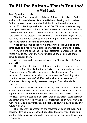### **A Mini Study To All the Saints - That's You too!**

#### **Read Ephesians 1:1-14**

Chapter One opens with this beautiful hymn of praise to God. It is in the tradition of the *berakah -* the Hebrew blessing which praises God and states the reasons why God should be blessed or praised (Bruce, 252)**. Look up Psalm 41:13; 66:20; 72:18 & note how they pick up & praise an attribute of God's character**. Paul uses the same style of blessing in Eph 1:3. Look at how he includes 'Father of our Lord Jesus' in the blessing and also the attribute of blessing us 'in the heavenly realms with every spiritual blessing in Christ'. **Why might Paul have forged this link to the** *berakah***?** 

**Note down some of your own prayers to bless God using the same style and your own examples of areas of God's faithfulness.**

Now, thinking about the 'spiritual blessings in Christ' we look at verses 4-13 to see what they are. **Underline them, or note them down & ponder them.**

**Why is there a distinction between the 'heavenly realm' and 'on earth'?**

The spiritual blessings are all located 'in Christ', which is the home of the Christian. And being in Christ is our common home - none of us is alone as a Christian because of this, the location of our salvation. Bruce reminds us that "*this common life is nothing other than his resurrection life*" (P 254). **What does this mean to you? When has this unity really mattered - to you & for the whole church?**

Life outside Christ has none of the joy that comes from salvation & consequently, none of the power. For those who are in Christ is the hope & life that come from the Spirit, emphasised in verses 13 & 14. The Holy Spirit's presence is our assurance of salvation- Stott describes the action this way; "*He is God's first instalment to the believer & as such, he acts as a guarantee for all that is to come, a promise for the future.*" (P 212).

4 The Holy Spirit is present at the salvation of each believer. Paul describes this as a 'seal'. **What hope does that give you? Does Paul see the Holy Spirit as separable from the believer? Note down your reasoning.**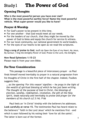## Study1 **The Power of God**

#### **Opening Thoughts**

**Who is the most powerful person you have ever met? What is the most powerful earthly force? Name the most powerful vehicle. What super-power would you like to have?**

#### **Prayer & Worship**

- \* For God's power to be present in this time.
- For one another that God would meet all our needs.
- \* For the leaders of our church, that they might be moved by the power of God to bless and equip the church for service & witness.
- For our local community, our national government & world leaders.
- \* For the eyes of our hearts to be open as we read the scriptures.

**Sing a song of praise to God**, such as Open the Eyes of my Heart; My Jesus, My Saviour; I Sing the Almighty Power of God; Praise to the Lord, the Almighty

#### **Now Read Ephesians 1:15-23**

Please read it from your own Bible.

#### **For Your Consideration**

This passage is a beautiful piece of intercessory prayer - as Paul finds himself moved inevitably to prayer in a natural progression from his thoughts of Christ in the first half of the chapter. Indeed, Foulkes suggests that;

… *as the opening* '*For this reason' signifies — he prays in the light of the wealth of spiritual blessing of which he has just been writing. The thought of the purpose of God in Christ, the blessings of election, sonship, redemption, revelation, the gift of the Holy Spirit, leads naturally and inevitably to praise and prayer for the members of his church (cf 3:14).* P 66

Paul feels an 'in Christ' kinship with the believers he addresses. **Look carefully at verse 15.** The testimonies Paul has heard relate to the believers' 'faith in the Lord Jesus' which he mentions first —and which is soon followed by his noting their 'love for all the saints'. The latter is born out of the former.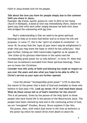Faith in Jesus breeds love for his people.

#### **Talk about the love you have for people simply due to the common faith you share in Jesus…**

Example: *My friend, Auntie Jessica & I met in 2012 at her home church in Kampala. A bond of love was immediately there, before we spent any time with each other simply because we both love Jesus who bridged the unknowing with his love.*

Paul's understanding is that we need to be given spiritual blessings to help us to know God better and so to know his will and purposes. In verse 17, this is the '*spirit of wisdom & revelation*'. In verse 18, he prays that the '*eyes of your heart may be enlightened in order that you may know the hope to which he has called you*'. Paul goes further, linking our faith inextricably together as he speaks of, '*the riches of his glorious inheritance in the saints and the incomparably great power for us who believe*', in verse 19. Note that there are no believers excluded from these spiritual blessings. There are no lower-tier Christians.

**Consider how this unity of faith and blessing has made an impact on you over the years and also what you hope to be able to offer in Christ's service as your eyes are further opened.**

I love the phrase "*incomparably great power"* (v19) to describe the nature of the power that is both of God and available to those who believe in God (also v19). **Look up verses 19-21 and read them aloud. What do these verses tell us of God's intention for the church?** This is all personal. Given by the person of the Holy Spirit to those people who have found life in the person of the Resurrected Jesus. The people have been claimed by God and in the continuing action of God, we are "energised" (Foulkes, Bruce). Bruce explains it like this; *The power, then, with which God works in the lives of believers is the power by which he raised Christ from death to share his*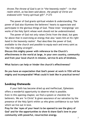*throne.The throne of God is set in "the heavenly realm" —in that realm which, as has been said above, the people of Christ are endowed with "every spiritual gift".* P 273

The power of God grants spiritual wisdom & understanding. The power of God also illumines the believers' hearts to appreciate and participate in the glorious things of God. These inner 'energisings' are works of the Holy Spirit whose work should not be underestimated.

The power of God not only raises Christ from the dead, but goes far above that in exercising an energy that also 's*eats him at his right hand in the heavenly realms*'. Paul describes the power of God, available to the church and possible to equip each and every saint as '*like this mighty strength*'.

**Discuss this mighty power with reference to the Church's effectiveness in the world at large, in your own country, community and from your local church in mission, service & acts of kindness.** 

**What factors can help or hinder the church's effectiveness?** 

**Do you have an expectation that God's power at work in YOU will be mighty and incomparable? What could it look like in practical terms?**

#### **Looking Outwards**

If your faith has become dried up and ineffectual, Ephesians offers a wonderful opportunity to observe what is possible. Even in this opening chapter, we find a system or checklist for believers. We are 'in Christ' & given assurance of our salvation by the presence of the Holy Spirit within us who gives confidence to our faith which we live out in love.

**Pray for the 'eyes of your heart to be opened to see the glory of God' and for the opportunities to show & share God's love in your community with powerful, resurrection energy.**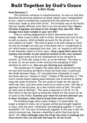#### **A Mini Study Built Together by God's Grace**

#### **Read Ephesians 2**

The Christian's salvation is transformational. So much so that Paul describes the previous existence as being '*dead in your transgressions & sins*', which is wonderfully countered with the assertion of v5 in which God '*made us alive with Christ*'. The Christian way of life should then be notably different from that of our pre-salvation days. **Read a Christian biography and observe the changes they describe. What changes have been notable in your own life?** 

There is nothing judgemental in Paul's description about this change. What is past is dealt with in Christ. He knows the truth of this as well as anyone, which probably accounts for the phrase v3, '*we were objects of wrath*'. The work of grace is all God's doing by which we also are brought not only out of the death that is '*transgression & sin*' which keeps us separated from God —but, v6 '*seated us with him in the heavenly realms in Christ Jesus*.' **Have a good think about the mystery and wonder of your physical location at this very moment.**

The good works we do are consequences of our salvation & location. As Christ did, being in him, so we do likewise. This takes us to verse 10: we are active in the world by the energising of God's salvation at work in us. **How are you showing your salvation?**

The second part of Chapter Two takes down all distinctions that we may have humanly ascribed to those who know God. In particular the divide between those, v12 '*excluded from citizenship in Israel*' and those who are 'citizens in Israel'. Foulkes (P 90) describes it; "*The Lord's coming meant making peace between Jew & Gentile by taking away the cause of division. The law could no longer be the way by which the Jews, and Jews alone could try to come to God. The way of approach is now by grace, by a new creative work of God. The same for both Jews & Gentiles".* This unity is asserted in v16-18. In v18, Paul refers to the one Spirit as being the vehicle for this access for all to come to the Father. **Examine your heart for barriers between you & other Christians. Allow God to break them down in Christ.**

8 The building image which closes Chapter 2 is memorable. No longer a temple of stone, but of people unified and brought together in Jesus, with the same 'citizenship' and belonging together in 'God's household' v19. The work of being built together in this way is that the church universal may *'become a dwelling in which God lives by his Spirit*' v22. **What challenges does this bring? How does it challenge the local church? How can this look like hope for all the world?**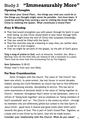## Study 2 **"Immeasurably More"**

#### **Opening Thoughts**

**Talk about your Grand Plans… the things you wish you could do or the things you thought might never be possible - but have been. It could be anything from owning a zoo to visiting the Great Wall of China to meeting the Queen. What constitutes a Grand Plan?**

#### **Pray & Worship**

- That God would strengthen you with power through his Spirit in your inner being, so that Christ would dwell in your heart through faith.
- That you might know the love of Christ that surpasses knowledge.
- That you would be filled with the Spirit.
- \* That the churches may be a blessing in ways they can neither dare to ask for or even imagine.
- \* That we might be servants of the gospel, by the gift of God's grace.

**Sing a song of praise to God**, such as Immortal, Invisible; See, What a Morning; Give me the faith that can remove & sink a mountain to a plain; There must be more than this (Consuming Fire by Tim Hughes).

#### **Now Ephesians 3:10-21**

Please read it from your own Bible.

#### **For Your Consideration**

 $\overline{9}$ Verse 10 begins with the church. The value of 'the Church' has been one which, to some extent, has lost favour in recent decades. Indeed, during the Covid Pandemic as church has had to find different ways of expressing worship, discipleship & service. This has led to some expressions of personal doubt in the value of 'being together as Church'. However, throughout Paul's letter to the Ephesians, there is a refrain of 'being built together' and an emphasis on 'being members of God's household' and 'us'. The Church is the means by which —through its members who are differently gifted but united in the One Spirit in Jesus Christ— good news is shared and good works done which point towards the glory of God. This is part of God's Grand Plan. Together, as a body and in one Christ by his Spirit, God will be made known. **Consider your relationship with the Church. What do you value?**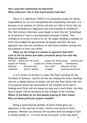#### **How could the relationship be improved? What could your role in that improvement look like?**

Verse 12 is significant. Within it is tremendous scope for taking responsibility for our own discipleship and relationship with God. It is because of our position (in Christ) and also our faith in Christ that we are each motivated to "*approach God with freedom & confidence*". The 16th Century reformers would begin to term this the "priesthood of all believers" and is a key Methodist principle of belief. The confidence of access to God is for all. No longer needing a mediator as Christ has bridged the gap between all people and God. We may approach God with the confidence of well-loved children coming into the presence of their own father.

#### **What are the things it is easiest to approach God with? Look at the list below and make comments about how and why these are easiest…**

|                     | Worship prayers for the world | prayers for family issues       |                  | praising God         |
|---------------------|-------------------------------|---------------------------------|------------------|----------------------|
| prayers for healing |                               | prayers for friends' situations |                  | thanksgiving         |
| direction           | personal need                 | more faith                      | adoration of God |                      |
| confession          | grief or sadness              | struggle                        |                  | rejoicing/excitement |

It is in verses 14-16 that it is clear that Paul is praying for the Christians of Ephesus - and for all who are reading the letter. Kneeling was not a regular posture of prayer, and yet that Paul claims that this is his posture shows the seriousness of the situation as he sees it. Holding onto Christ will not always be easy and in such times, the Holy Spirit's power will be necessary to the strength of the Christian. **Where in the Bible do we find people praying on their knees? Why are these particular prayers notable?**

Being a name-bearing member of God's family gives you legitimacy in the exercise of faith, ministry and access to God's presence. Whether our previous life has been with knowledge of God or wholly without it - in Christ and by the power of the Holy Spirit,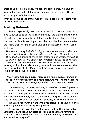there is no distinction made. We bear the same name. We have the same value. As God's children, we bear our Father's name. This gives all of us rights of inheritance.

**What are some of the things God gives his people as 'co-heirs with Christ'? (Romans 8:17)**

#### **Looking Outwards**

Paul's prayer really takes off in verses 16b-21. God's power will give us power to be based in, surrounded by, and sharing out the love of God. These verses are beautiful and mystical, and above all, full of the love that Paul is reaching to describe. But why does he emphasise the 'more than' nature of God's love and an increase of Power? John Stott writes;

*The new humanity is God's family, whose members are brothers and sisters, who love their Father and love each other. Or should do. They need the power of the Spirit's might and of Christ's indwelling to enable them to love each other, especially across the deep racial and cultural divide which had previously separated them.* P 136 **In today's church and also society, where do we see a need for the deep indwelling of Christ's love and the Spirit's power to enable love between groups of people?** 

#### *Where there has been hurt, where there is mis-understanding or lack of knowledge leading to wrong assumptions, we pray that we do better, rooted in & equipped with God's love and power.*

Understanding the power and magnitude of God's love & power is the work of the Spirit. There is an increase of both love and power available for God's people. The more we are rooted in the love of God and available to the Holy Spirit, the more we grasp this magnitude and step in to be part of it. Paul prays BIG prayers, as we see in verse 20.

**What are your Grand Plans when you stand in the love of Christ and are given more of the Spirit's power?**

**As we grow in love, faith and power, what do the prayers that you hardly dare speak out start to look like as you are reminded that God is the one who is "able to do immeasurably more than all we can ask or imagine"?**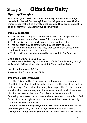## Study 3 **Gifted for Unity**

#### **Opening Thoughts**

**What is on your 'to do' list? Book a holiday? Phone your family? Household chores? Gardening? Shopping? Organise an event? What things never make it to a written list because they are as natural to do as breathing? Talk about your observations.**

#### **Pray & Worship**

- That God would forgive us for our selfishness and independence of spirit in the attitude of our heart  $\theta$  in how we live.
- That, by his grace, we might grow to be more Christ-like.
- \* That our faith may be strengthened by the spirit of God.
- \* That we might know the true unity that comes from Christ in our fellowship and in our local church.
- \* That the gifts we are given would be used well in God's service.

#### **Sing a song of praise to God**, such as:

All praise to our Redeeming Lord; O Breath of Life Come Sweeping through us; Salvation belongs to our God; Be Still & Know that I am God.

#### **Now Read Ephesians 4:1-16**

Please read it from your own Bible.

#### **For Your Consideration**

The Epistle to the Ephesians indeed focuses on the commonality of faith in Jesus Christ and the indwelling of the Holy Spirit, no matter their heritage. Paul is clear that unity is an imperative for the church and that this is not an easy win. I'm sure we can all recall times when disunity has been at the root of problems in the local church fellowship. Whatever our part was in these, we are accountable to God for it. His love through Jesus on the cross and the power of the holy spirit was for these moments too.

*It may be worth pausing to spend a little time with God on this, as you make your own, personal prayer to God and make peace through him in your heart & mind, by his spirit. \*Not a group exercise.\**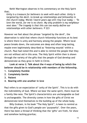Keith Warrington observes in his commentary on the Holy Spirit that;

*Unity is a treasure for believers to seek with each other. Unity is targeted by the devil, to break up relationships and fellowship in the church today. Words I learnt years ago still ring true today — 'To love the world, for me is no chore. My only problem is my neighbour next door.' The tragedy is that this can too easily define our relationships with other believers.* P 223

However we feel about the phrase 'targeted by the devil', the observation is valid that where church fellowship functions at its best is where there is unity and harmony among the people. Where local peace breaks down, the outcomes are deep and often long-lasting, maybe even legitimately described as 'festering wounds' within a church. Paul had noted this and is able to remind the people that they are not without aid in this area. The Holy Spirit within then is shown through the variety of the gifts that the people of God develop and demonstrate as they grow in faith in Christ.

**Look at verse 2. Talk about the 4 ways of being by which the believer should be in relationship with members of the fellowship.**

- **1. Completely Humble**
- **2. Completely Gentle**
- **3. Patient**
- **4. Bearing with one another in love**

Paul refers to an expectation of 'unity of the Spirit'. This is to do with the indivisibility of God. Where we bear the same spirit, there must be a family like-ness. The Spirit's characteristics are unchangeable as God is unchangeable. The diversity comes in how the gifts of Christ we demonstrate lend themselves to the building up of the whole body.

Billy Graham, in his book "The Holy Spirit", is keen to remind us that the gifts given to God's people are 'purposeful'. Over the years, there has been a thread of thinking that the 'gifts' are froth, for show and somehow lacking gravitas;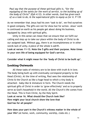*Paul say that the purpose of these spiritual gifts is, "for the equipping of the saints for the work of service, to the building up of the body of Christ" (Eph 4:12). In other words, God has given each of us a task to do, & the supernatural gifts to equip us for it.* P 135

As we remember that Jesus had his own 'task to do', we find ourselves in good company. The gifts are not for show but for action. Jesus' work is continued on earth as his people get about doing his business, equipped by Jesus with spiritual gifts.

Unity in this sense can mean that we ensure that we fulfil our calling and step up to take our place within the body of Christ to do our assigned task. Without you, there is an incompleteness or in other words lack of unity. A piece of the whole is adrift.

**Look at verses 11-13. Note the 5 gifts and their purpose. Note times in your own life of being equipped for God's service.**

**Consider what it might mean for the 'body of Christ to be built up'.**

#### **Looking Outwards**

All these tasks of ministry are to be done with truth  $\theta$  in love. The body being built up with eventually correspond properly to the Head (Christ). At the time of writing, Paul sees the relationship of Christ & the Church as like a huge head to which a tiny body is attached— baby-like & immature in form. The Church needs the spiritual gifts of Christ in order to 'grow effectively' and so to properly serve as God's household in the world. All the Church's life comes from the Head. This is from Christ, by the Holy Spirit. **Look at verse 16. What should the Church look like? How might your local church show the love that God has for all people?**

**How does your part in the Church's witness matter in the whole of your life?** (at home, work, community, worship, clubs etc.)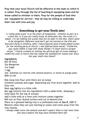**Pray that your local Church will be effective in the tasks to which it is called. Pray through the list of teaching & equipping tasks and for those called to minister in them. Pray for the people of God who are 'equipped for service', that all may be willing to undertake their role with love and joy.**

#### **Something to get your Teeth into!**

*A 'really good scone' is at the heart of hospitality - whether as part of a cream tea, or if you are really lucky, an afternoon tea, the scone is a staple. I'm not talking the scones that are on offer in the USA, which seem to be altogether different (and don't get me started on the USA and biscuits!) Early in ministry, after I had produced some freshly baked scones for the working party at church, I was offered these words; "Catherine, you could cobble a road with those things! I'll teach Gavin a proper recipe." Clearly crushed (or lacking the spiritual gift of scone making) I ceded the oven to Gavin who has raised the standard for scones ever since. Get your teeth into these!!*

#### **Ingredients**

8oz SR flour 2oz Margarine 1oz Sugar 1 egg 2oz. Sultanas (or cherries with almond essence; or lemon & orange peel) Milk to mix

Rub marg into flour until there are no lumps

Combine sultanas and sugar. Separating any fruit stuck together. Add to flour mix

Beat egg lightly in a little milk.

Mix egg mixture into dry ingredients with a table knife, (keeping a little back for the top of scones)

Add a little milk at a time until mixture comes together.

Roll out on flour dusted surface and cut to desired size.

Place on a greased baking tray in a preheated oven at **Gas 8, 220°C** Remove when they are just starting to colour and come away from the tray cleanly.

*I always make twice the amount and don't expect them to last more than few hours before the boys have finished them off!*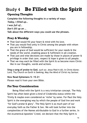## Study 4 **Be Filled with the Spirit**

#### **Opening Thoughts**

**Complete the following thoughts in a variety of ways:**

*Today, I filled up… I was full of… Don't fill up on …* **Talk about the different ways you could use the phrases.**

#### **Pray & Worship**

- \* That God would fill your heart & mind with his love.
- \* That you would find unity in Christ among the people with whom you are in fellowship.
- \* That the grace of God would be sufficient for your needs & the needs of the world, enabling peace & fulfilment in all creation.
- \* That just and wise decisions are made by those in places of power & privilege in order that care, respect & hope is given to all people.
- \* That we may each be filled with the Spirit & so become more Christlike in our thoughts, words and actions.

**Sing a song of praise to God**, such as: Jesus Paid it All; In Christ Alone; Lord, Thy Church on Earth is Seeking; May the Mind of Christ my Saviour.

#### **Now Read Ephesians 5: 15-21**

Please read it from your own Bible.

#### **For Your Consideration**

Being filled with the Spirit is a very trinitarian concept. The Holy Spirit has often been given a kind of Cinderella status within the Trinity & maybe even considered as 'niche' by some. For Paul the Holy Spirit is the energising way by which the people of God live and work 'for God's praise & glory'. The Holy Spirit is as much part of our everyday faith as the Father & Son. We will look further into the complexities of the Names attributable to God in a further series. In the ecumenical Apostles' Creed, we declare that the Holy Spirit is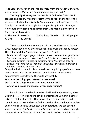"*The Lord, the Giver of life who proceeds from the Father & the Son, who with the Father & Son is worshipped and glorified.*"

The Holy Spirit energises the people of God to be Christ-like in attitude and action. Wisdom for right living is right at the top of the scripture selection for this study. We remember that in Chapter 1:17, 'the Spirit of wisdom' is sought for the people by Paul in his prayer. **How could the wisdom that comes from God make a difference to Our relationships with:** 

**1. The world / creation 2. Our local Church 3. 'All people' 4. God 5. Ourself**

There is an influence at work within us that allows us to have a Godly perspective on all these situations and areas that really matter. This is the work the Spirit. Stott says of 15-17 that;

*Paul's next little paragraph is based on two assumptions, firstly that Christians are* sophoi *—wise people, not fools—and secondly that Christian wisdom is practical wisdom, for it teaches us how to behave. His word for to 'behave' throughout the letter has been a Hebrew concept, to 'walk'.* P 201 Being filled with the spirit is an ever-increasing filling up of our actions and attitudes with Christ-like ways, and 'walking' in a way that demonstrates God's love to the world we inhabit. **What are the things you take extra care over? What are the things that matter most in your life? How can you 'make the most of every opportunity'?**

It could be easy to be dismissive of v17 and 'understanding what God's will is'. However, there can be agreement that 'Christ-likeness' is God's will for all people. That sense of increasing holiness and commitment to love and serve God is one that the church universal has been working towards throughout the generations. We can see the general terms of God's will for us in Scripture and worked out through the traditions of Christian history. The specifics of God's will in our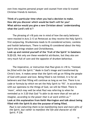own lives requires personal prayer and counsel from wise & trusted Christian friends & mentors.

#### **Think of a particular time when you had a decision to make. How did you discover which would be God's will for you? What advice would you give a new Christian about 'understanding what the Lord's will is'?**

The phrasing of v18 puts me in mind of how the early believers were mocked in Acts 2:13 at Pentecost as they receive the Holy Spirit's first outpouring. Drunkenness leads to ill-considered actions; careless and foolish behaviours. There is nothing ill-considered about the Holy Spirit who brings wisdom and Christlikeness.

**Look up and remind yourself of the 'fruit of the Spirit' in Galatians 5:22-23.** Not only are these wonderful attributes, but they also are very much full of care and the opposite of drunken behaviour.

The imperative, or instruction that Paul gives in v18 is; "*Instead, be filled with the Spirit.*" Made in God's image and transformed by Christ's love, it makes sense that the Spirit will go on filling the people of God with power and love. Being filled is not limited, it is for all believers and that filling will continue as long as we live. There is no code or formula by which we set the Holy Spirit to 'fill'. In accordance with our openness to the things of God, we will be filled. There is 'more', which may well be what Paul was referring to when he reminded us in 3:20 that God "*is able to do more than all we ask or imagine, according to the power that is at work within us.*" **Look at this explanation from Keith Warrington and talk about being** 

**filled with the Spirit & also the purpose of being filled.**

*Paul is not exhorting them to be manifesting more and more gifts of the Spirit, but rather to manifest the life and character of the Spirit.* P 236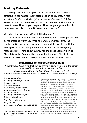#### **Looking Outwards**

Being filled with the Spirit should mean that the church is effective in her mission. Warrington goes on to say that, "*when somebody is filled with the Spirit, someone else benefits*" P 241. **Think of some of the concerns that have dominated the news in recent times. How do you respond? How can your group/church help someone else to benefit from your response?**

#### **Why does the world need Spirit-filled people?**

Jesus transforms his people and the Holy Spirit makes people holy by his presence within us. When the Church embraces this, the trinitarian God whom we worship is honoured. Being filled with the Holy Spirit is for all. Being filled with the Spirit is an 'everybody responsibility'. **Think about & pray for the areas you serve in at Church & in the Community. How will being more Christ-like in action and attitude increase your effectiveness in these areas?** 

#### **Something to get your Teeth into!**

*A nutritious and easy meal that may be served in bowls to guests in the garden or enjoyed in the warmth of your own kitchen.* 

*Chicken Stew with Herby Dumplings. Oven 180c or Gas 4 A pack of chicken thighs or drumsticks - around 12. (Adjust recipe accordingly)*

*3 Tablespoons flour 2 Tablespoons Sunflower oil 2 onions, sliced 2 carrots, chopped 200g bacon, snipped small 3 bay leaves, 3 sprigs thyme 250ml red wine 3 Tablespoons tomato paste 1 Chicken Stock cube*

*Dumplings: 140g cold butter 250g SR Flour 2 Tablespoons chopped mixed herbs* 

Toss the chicken pieces with the flour and some salt and pepper, to coat them – it's easy to do this in a plastic food bag.

**•** Heat the oil in a casserole with a lid. Brown the chicken pieces well on all sides – you'll need to do this in batches. Remove all the pieces to a plate, and tip the onions, carrot, lardons, bay and thyme into the pan. Cook gently for 10 mins until the onion is softened.

**•** Return the chicken pieces, with any juices that have collected on the plate. Then pour in the red wine, 250ml water and tomato paste and crumble in the stock cube. Add a splash more of water if you need, until the chicken is almost covered. Bring to the boil, then cover with a lid and bake in the oven for 20 mins. Remove the lid and bake for another 10 mins while you make the dumplings.

**•** Rub the butter into the flour with your fingertips until it feels like fine breadcrumbs. Stir in the herbs with ½ tsp salt and some pepper. Drizzle over 150ml water, and stir in quickly with a cutlery knife to form a light dough. Use floured hands to shape into ping pong sized balls.

**•** Place the dumplings on top of the stew and bake for 20 mins more until the dumplings are cooked through.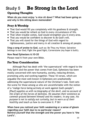## Study 5 **Be Strong in the Lord**

#### **Opening Thoughts**

**When do you most enjoy 'a nice sit down'? What had been going on and why is this sitting down memorable?**

#### **Pray & Worship**

- That God would fill you completely with his goodness & strength.
- \* That you would be reliant on God in every circumstance of life.
- \* That when trouble comes, God would strengthen you in every area.
- That you would be confident to discover & do God's will.
- That you will stand for the things of God with regard to righteousness, justice and mercy in all creation & among all people.

**Sing a song of praise to God**, such as: Be Thou my Vision; Salvation belongs to our God; Fight the good fight; Cornerstone (my hope is built).

#### **Now Read Ephesians 6:10-20**

Please read it from your own Bible.

#### **For Your Consideration**

Although Paul has dealt with 'the supernatural' with regard to the Holy Spirit and the power that comes from God, Ephesians has been mostly concerned with new-humanity, society, reducing division, promoting unity and working together. These 10 verses, which are arguable the most well-known in Ephesians are unashamedly addressing the supernatural nature of the Christian's task. Stott sets the scene for those among us who are uncomfortable with the notion of a 'malign force being actively at work against God's people';

*[Paul] supplies us with no biography of the devil, and no account of the origin of the forces of darkness. He assumes their existence as common ground between himself and his readers. In any case, his purpose is not to satisfy out curiosity, but to warn us of their hostility and teach us how to overcome it.* P 261

**When have you noticed your faith weakening or a sense of gloom regarding your faith due to no particular reason? Remind yourself that the strength and the power you have is 'the Lord's'.**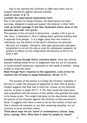Paul is not wanting the Christians to fight each other, but to prepare themselves against spiritual hostility.

#### **Look at verses 12 & 13.**

#### **Consider the supernatural implications here.**

Paul is not known for being frivolous. His observations are keen warnings, designed to equip and support the believer in their faith. **Look up further passages in the New Testament where Jesus or the Apostles deal with 'evil spirits'.** 

The purpose of the evil spirit is destructive - usually a life is put at risk. Here, in Ephesians 6, Paul is talking about spiritual hostility that is separate from people - it is a bigger issue than one rooted in individuals, but the effects of the devil's influence are personal;

*We must not imagine, therefore, that open persecution and open temptation to sin are his only or even his commonest weapons; he prefers to seduce us into compromise and deceive us into error.*  Stott P 265

**Consider & pray through Stott's comment above**. Have you noticed yourself making foolish errors of judgement that are out of character or found yourself losing your reputation at the hands of another - being unable to undo the mess?

**Read through Paul's response to this opposition. Look at how he cautions the Christian to equip themselves. Verses 13-17.**

The purpose of the armour is to keep the Christian 'standing' in the face or under the pressure of opposition to their faith & person. Foulkes suggests that Paul had in mind the '*armour of the heavenly warrior, as given in Isaiah 59:17*'. P 176. Paul would also have been well acquainted with the armour of the soldiers who guarded him daily in his house-arrest. The weight that gives to this description reveals the gravity of the situation against the Christian as Paul perceived it. Verse 13 suggests that there is work to do for the mission of God and that it should not consume us, but that remaining standing, we can continue to serve and bless others.

**Think about ways we use 'stand' in contemporary culture. Song lyrics, sayings, films. What does it mean for people to 'stand?'**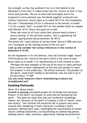Our strength, as Paul has outlined it for us in this Epistle to the Ephesians is from God. It makes sense that the 'armour of God' is that which God provides. We are to know God thoroughly and to be prepared in every spiritual way. He blends together scriptural and military references. Bruce takes us to Isaiah 59:17 for the breastplate, this and 1 Thessalonians 5:8 for a reference to the helmet; to Isaiah 11:5 for a poetic 'belt'; to Isaiah 52:7 for the sandals which he couples with Romans 10:15. Bruce then goes on to add;

*Those who must at all costs stand their ground need to have a secure footing; in the spiritual conflict, this is supplied by the gospel, appropriated and proclaimed.* Pp 407-8

The shield will '*repel attacks of various kinds*' (Bruce P 408) and even v16 "extinguish all the flaming arrows of the evil one".

**Look up and consider the various references in the context of Ephesians 6:10-20.**

All this equipment is for the defence, that the Christian might 'stand'. V18 introduces the '*sword of the spirit which is the word of God.*' Bruce takes us to Isaiah 11:4, Deuteronomy 8:3 and reminds us that;

*"Perhaps the best example of the use of his word to repel spiritual foes is seen in Jesus' deployment of the text just quoted to repel the tempter in the wilderness. The divine utterance, the product of the Spirit, lends itself readily to the believer who has laid it up in his [sic] heart."* P 409

**Can you recall instances where remembering scripture has strengthened you?**

#### **Looking Outwards**

Verse 18 is about prayer.

**Commit to praying** unscripted prayers for all things and everyone. Prayers 'in the Spirit' are prayers of unity and are assisted by the Spirit. - This does not mean that they are incoherent mumblings. Indeed, the influence of the Spirit in Creation is that of 'detail, order and variety'. The Christian life should be full of prayers that reach towards God, delighting in God's character; revelling in God's purposes; seeking God's ways; challenging the waywardness of human nature; seeking forgiveness; craving blessing on undeserving places; seeking justice, hope, salvation, opportunity, healing and protection.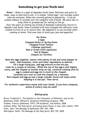#### **Something to get your Teeth into!**

*'Rolex' : Rolex is a type of Ugandan street food. Delicious and quick to*  make, easy to hold and to eat, it is simply 'rolled eggs', but lovingly called *rolex by everyone. Rolex has recently gained in popularity - it can be cooked indoors or outside over the campfire with friends. We quite like to wrap them in greaseproof for eating on the go.*

*Over the years of visiting my friends at Kampala Community Church in Uganda I and those I have travelled with have enjoyed this delicious treat, cooked in front of us in record time. We adapted it to use tortillas when cooking at home. Find ones that fit both your pan and appetite!*

> *Per Rolex 2 eggs Chopped Onion or Spring Onion Chopped Fresh Tomato Cabbage (optional) Red or Green Chilli (optional) Salt & Pepper Chapati (or tortilla)*

**Beat the eggs together, season with plenty of salt and some pepper to taste. Add tomatoes, onion and other ingredients as desired. Oil a large frying pan, add egg mixture to the hot pan. Cook for a couple of minutes. While the top of the egg is still slightly runny, add the chapati or tortilla wrap on top, continue cooking until all egg is cooked and egg mix is stuck to the chapati. Carefully turn over to cook the chapati for a moment. Roll chapati and egg up into a large cylinder (Swiss-roll style) while keeping it in the pan. Then serve.**

*For authentic experience enjoy with your hands, if you have company, plates & cutlery may be used!*

#### *Bibliography*

Bruce, Frederick F.; *The Epistles to the Colossians, to Philemon, and to the Ephesians*; ECBC; William B. Eerdmans Publishing Company; 1984 Foulkes, Francis; *Ephesians*; TNTC; IVP Academic; 2nd edition; 2008 Graham, Billy; *The Holy Spirit: Activating God's Power in Your Life*; Collins; 1979 Stott, John; *The Message of Ephesians*; BST; IVP; 1989 Warrington, Keith; *The Message of the Holy Spirit*; BST; IVP; 2009